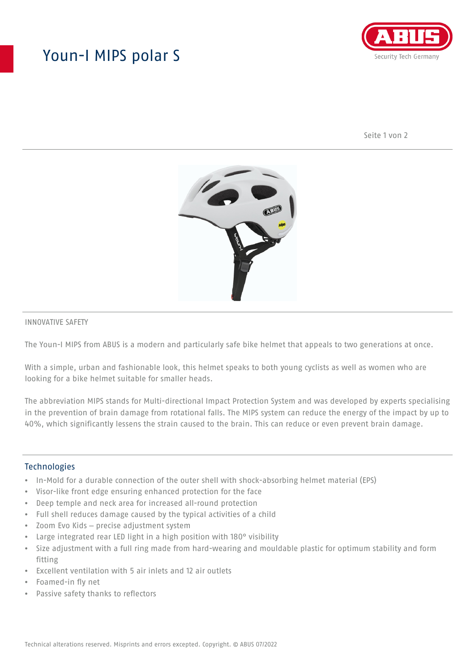## Youn-I MIPS polar S



Seite 1 von 2



### INNOVATIVE SAFETY

The Youn-I MIPS from ABUS is a modern and particularly safe bike helmet that appeals to two generations at once.

With a simple, urban and fashionable look, this helmet speaks to both young cyclists as well as women who are looking for a bike helmet suitable for smaller heads.

The abbreviation MIPS stands for Multi-directional Impact Protection System and was developed by experts specialising in the prevention of brain damage from rotational falls. The MIPS system can reduce the energy of the impact by up to 40%, which significantly lessens the strain caused to the brain. This can reduce or even prevent brain damage.

### **Technologies**

- In-Mold for a durable connection of the outer shell with shock-absorbing helmet material (EPS)
- Visor-like front edge ensuring enhanced protection for the face
- Deep temple and neck area for increased all-round protection
- Full shell reduces damage caused by the typical activities of a child
- Zoom Evo Kids precise adjustment system
- Large integrated rear LED light in a high position with 180° visibility
- Size adjustment with a full ring made from hard-wearing and mouldable plastic for optimum stability and form fitting
- Excellent ventilation with 5 air inlets and 12 air outlets
- Foamed-in fly net
- Passive safety thanks to reflectors